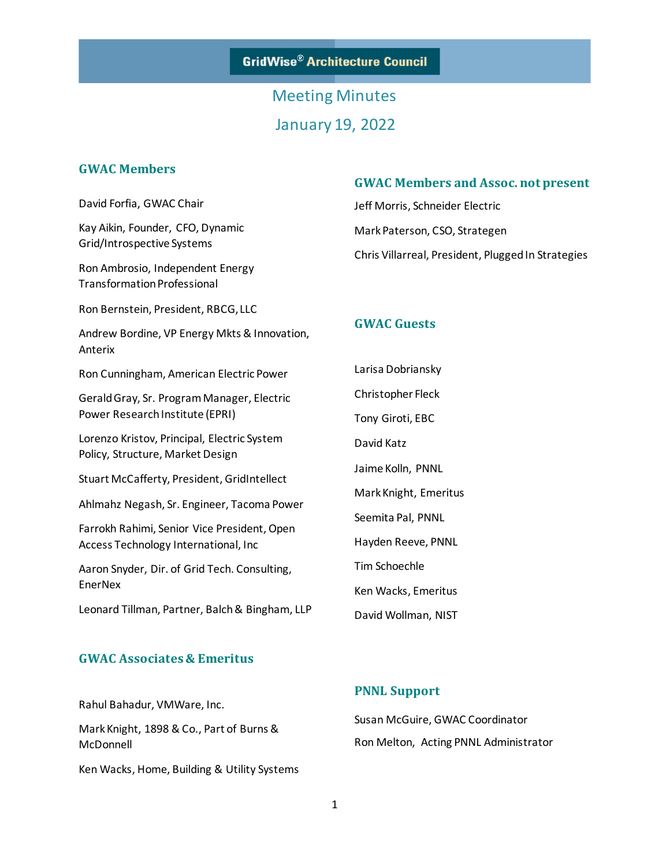**GridWise® Architecture Council** 

# Meeting Minutes January 19, 2022

### **GWAC Members**

David Forfia, GWAC Chair

Kay Aikin, Founder, CFO, Dynamic Grid/Introspective Systems

Ron Ambrosio, Independent Energy Transformation Professional

Ron Bernstein, President, RBCG, LLC

Andrew Bordine, VP Energy Mkts & Innovation, Anterix

Ron Cunningham, American Electric Power

Gerald Gray, Sr. Program Manager, Electric Power Research Institute (EPRI)

Lorenzo Kristov, Principal, Electric System Policy, Structure, Market Design

Stuart McCafferty, President, GridIntellect

Ahlmahz Negash, Sr. Engineer, Tacoma Power

Farrokh Rahimi, Senior Vice President, Open Access Technology International, Inc

Aaron Snyder, Dir. of Grid Tech. Consulting, EnerNex

Leonard Tillman, Partner, Balch & Bingham, LLP

#### **GWAC Associates & Emeritus**

Rahul Bahadur, VMWare, Inc.

Mark Knight, 1898 & Co., Part of Burns & McDonnell

Ken Wacks, Home, Building & Utility Systems

#### **GWAC Members and Assoc. not present**

Jeff Morris, Schneider Electric Mark Paterson, CSO, Strategen Chris Villarreal, President, Plugged In Strategies

#### **GWAC Guests**

Larisa Dobriansky Christopher Fleck Tony Giroti, EBC David Katz Jaime Kolln, PNNL Mark Knight, Emeritus Seemita Pal, PNNL Hayden Reeve, PNNL Tim Schoechle Ken Wacks, Emeritus David Wollman, NIST

#### **PNNL Support**

Susan McGuire, GWAC Coordinator Ron Melton, Acting PNNL Administrator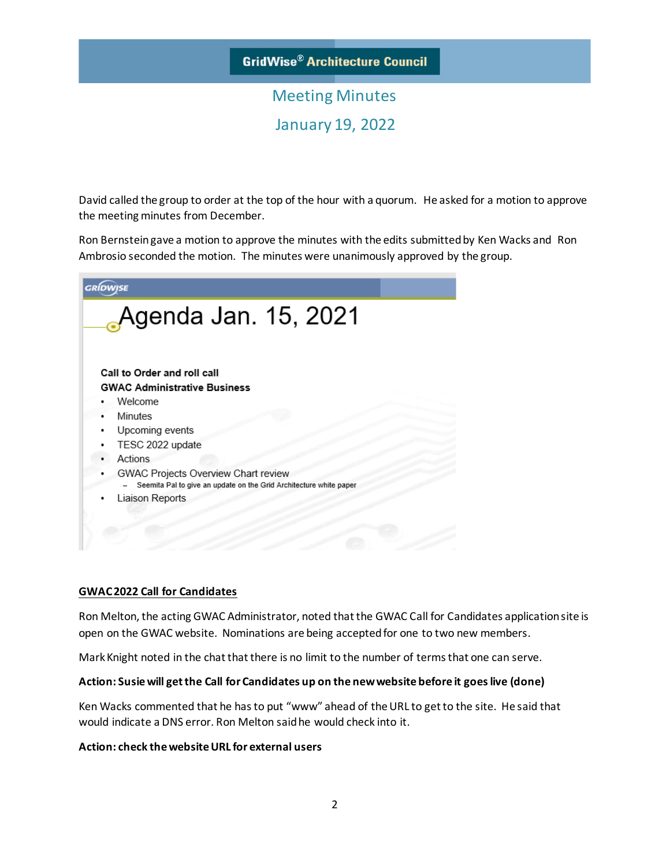# Meeting Minutes January 19, 2022

David called the group to order at the top of the hour with a quorum. He asked for a motion to approve the meeting minutes from December.

Ron Bernstein gave a motion to approve the minutes with the edits submitted by Ken Wacks and Ron Ambrosio seconded the motion. The minutes were unanimously approved by the group.

| <b>GRÍDWISE</b> |                                                                    |
|-----------------|--------------------------------------------------------------------|
|                 | Agenda Jan. 15, 2021                                               |
|                 |                                                                    |
|                 | Call to Order and roll call                                        |
|                 | <b>GWAC Administrative Business</b>                                |
|                 | Welcome                                                            |
|                 | Minutes                                                            |
|                 | Upcoming events                                                    |
|                 | TESC 2022 update                                                   |
|                 | Actions                                                            |
|                 | GWAC Projects Overview Chart review                                |
|                 | Seemita Pal to give an update on the Grid Architecture white paper |
|                 | Liaison Reports                                                    |
|                 |                                                                    |
|                 |                                                                    |
|                 |                                                                    |

#### **GWAC 2022 Call for Candidates**

Ron Melton, the acting GWAC Administrator, noted that the GWAC Call for Candidates application site is open on the GWAC website. Nominations are being accepted for one to two new members.

Mark Knight noted in the chat that there is no limit to the number of terms that one can serve.

#### **Action: Susie will get the Call for Candidates up on the new website before it goes live (done)**

Ken Wacks commented that he has to put "www" ahead of the URL to get to the site. He said that would indicate a DNS error. Ron Melton said he would check into it.

#### **Action: check the website URL for external users**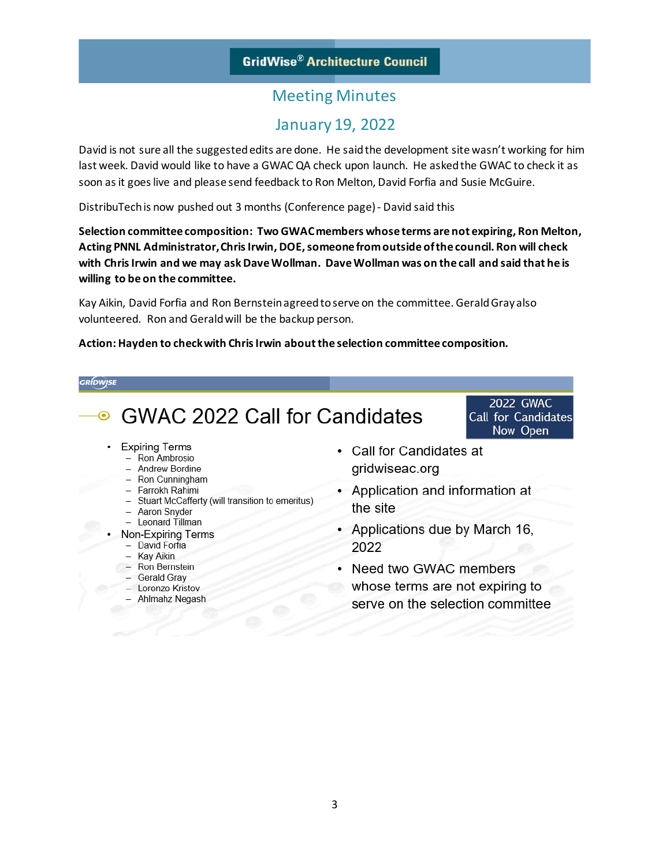# January 19, 2022

David is not sure all the suggested edits are done. He said the development site wasn't working for him last week. David would like to have a GWAC QA check upon launch. He asked the GWAC to check it as soon as it goes live and please send feedback to Ron Melton, David Forfia and Susie McGuire.

DistribuTech is now pushed out 3 months (Conference page) - David said this

**Selection committee composition: Two GWACmembers whose terms are not expiring, Ron Melton, Acting PNNL Administrator, ChrisIrwin, DOE, someone from outside of the council. Ron will check with Chris Irwin and we may ask Dave Wollman. Dave Wollman was on the call and said that he is willing to be on the committee.**

Kay Aikin, David Forfia and Ron Bernstein agreed to serve on the committee. Gerald Gray also volunteered. Ron and Gerald will be the backup person.

#### **Action: Hayden to check with ChrisIrwin about the selection committee composition.**

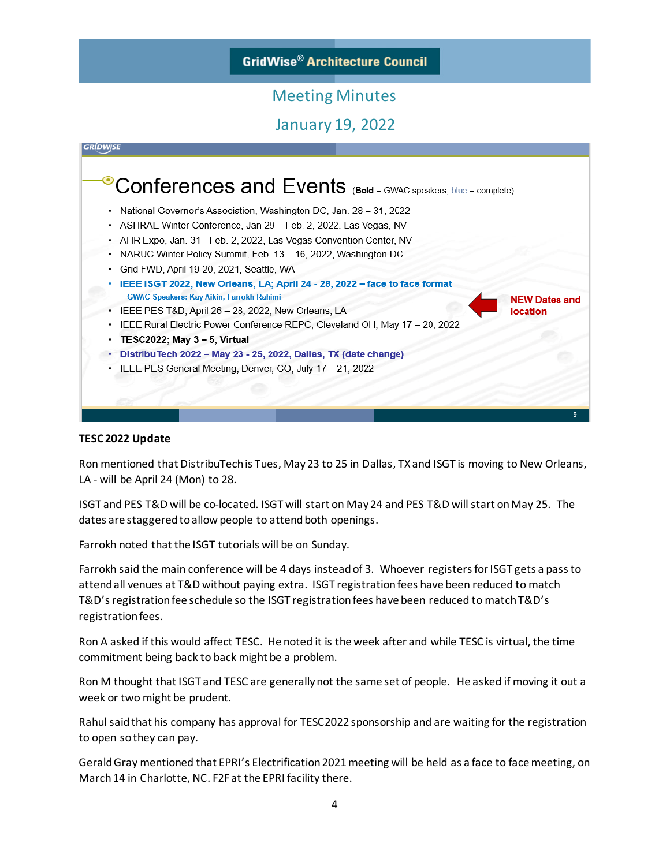### **GridWise® Architecture Council**

### Meeting Minutes

January 19, 2022



#### **TESC 2022 Update**

Ron mentioned that DistribuTech is Tues, May 23 to 25 in Dallas, TX and ISGT is moving to New Orleans, LA - will be April 24 (Mon) to 28.

ISGT and PES T&D will be co-located. ISGT will start on May 24 and PES T&D will start on May 25. The dates are staggered to allow people to attend both openings.

Farrokh noted that the ISGT tutorials will be on Sunday.

Farrokh said the main conference will be 4 days instead of 3. Whoever registers for ISGT gets a pass to attend all venues at T&D without paying extra. ISGT registration fees have been reduced to match T&D's registration fee schedule so the ISGT registration fees have been reduced to match T&D's registration fees.

Ron A asked if this would affect TESC. He noted it is the week after and while TESC is virtual, the time commitment being back to back might be a problem.

Ron M thought that ISGT and TESC are generally not the same set of people. He asked if moving it out a week or two might be prudent.

Rahul said that his company has approval for TESC2022 sponsorship and are waiting for the registration to open so they can pay.

Gerald Gray mentioned that EPRI's Electrification 2021 meeting will be held as a face to face meeting, on March 14 in Charlotte, NC. F2F at the EPRI facility there.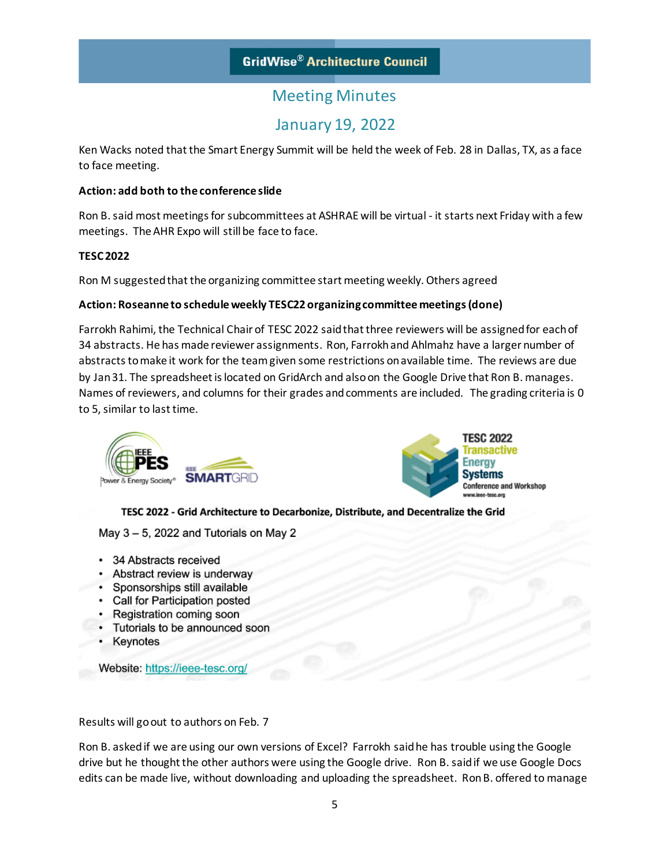# January 19, 2022

Ken Wacks noted that the Smart Energy Summit will be held the week of Feb. 28 in Dallas, TX, as a face to face meeting.

#### **Action: add both to the conference slide**

Ron B.said most meetings for subcommittees at ASHRAE will be virtual - it starts next Friday with a few meetings. The AHR Expo will still be face to face.

#### **TESC 2022**

Ron M suggested that the organizing committee start meeting weekly. Others agreed

#### **Action: Roseanne to schedule weekly TESC22 organizing committee meetings(done)**

Farrokh Rahimi, the Technical Chair of TESC 2022 said that three reviewers will be assigned for each of 34 abstracts. He has made reviewer assignments. Ron, Farrokh and Ahlmahz have a larger number of abstracts to make it work for the team given some restrictions on available time. The reviews are due by Jan 31. The spreadsheet is located on GridArch and also on the Google Drive that Ron B. manages. Names of reviewers, and columns for their grades and comments are included. The grading criteria is 0 to 5, similar to last time.





TESC 2022 - Grid Architecture to Decarbonize, Distribute, and Decentralize the Grid

May 3 - 5, 2022 and Tutorials on May 2

- 34 Abstracts received
- Abstract review is underway
- Sponsorships still available
- Call for Participation posted
- Registration coming soon
- Tutorials to be announced soon
- Keynotes

Website: https://ieee-tesc.org/

Results will go out to authors on Feb. 7

Ron B. asked if we are using our own versions of Excel? Farrokh said he has trouble using the Google drive but he thought the other authors were using the Google drive. Ron B. said if we use Google Docs edits can be made live, without downloading and uploading the spreadsheet. Ron B. offered to manage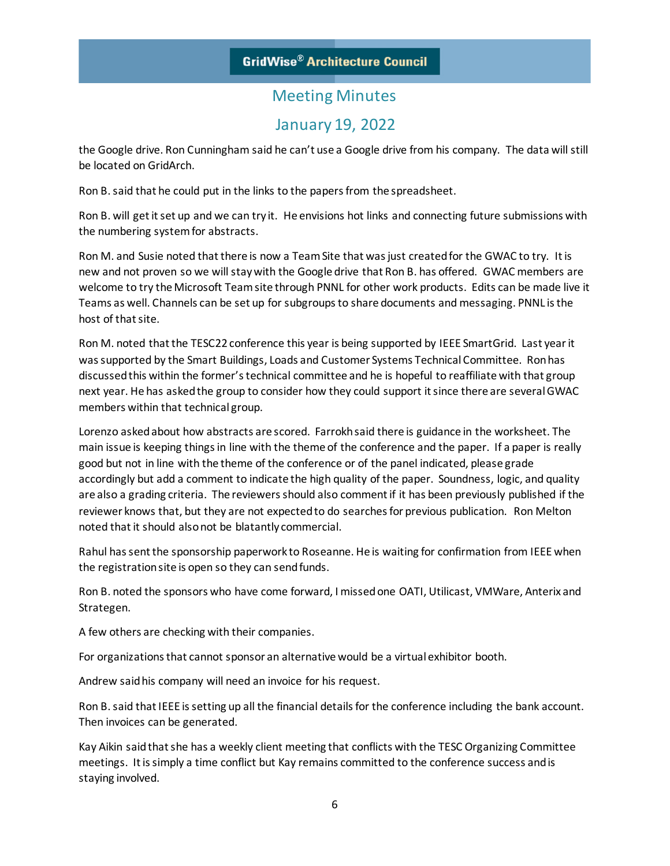## January 19, 2022

the Google drive. Ron Cunningham said he can't use a Google drive from his company. The data will still be located on GridArch.

Ron B. said that he could put in the links to the papers from the spreadsheet.

Ron B. will get it set up and we can try it. He envisions hot links and connecting future submissions with the numbering system for abstracts.

Ron M. and Susie noted that there is now a Team Site that was just created for the GWAC to try. It is new and not proven so we will stay with the Google drive that Ron B. has offered. GWAC members are welcome to try the Microsoft Team site through PNNL for other work products. Edits can be made live it Teams as well. Channels can be set up for subgroups to share documents and messaging. PNNL is the host of that site.

Ron M. noted that the TESC22 conference this year is being supported by IEEE SmartGrid. Last year it was supported by the Smart Buildings, Loads and Customer Systems Technical Committee. Ron has discussed this within the former's technical committee and he is hopeful to reaffiliate with that group next year. He has asked the group to consider how they could support it since there are several GWAC members within that technical group.

Lorenzo asked about how abstracts are scored. Farrokh said there is guidance in the worksheet. The main issue is keeping things in line with the theme of the conference and the paper. If a paper is really good but not in line with the theme of the conference or of the panel indicated, please grade accordingly but add a comment to indicate the high quality of the paper. Soundness, logic, and quality are also a grading criteria. The reviewers should also comment if it has been previously published if the reviewer knows that, but they are not expected to do searches for previous publication. Ron Melton noted that it should also not be blatantly commercial.

Rahul has sent the sponsorship paperwork to Roseanne. He is waiting for confirmation from IEEE when the registration site is open so they can send funds.

Ron B. noted the sponsors who have come forward, I missed one OATI, Utilicast, VMWare, Anterix and Strategen.

A few others are checking with their companies.

For organizations that cannot sponsor an alternative would be a virtual exhibitor booth.

Andrew said his company will need an invoice for his request.

Ron B. said that IEEE is setting up all the financial details for the conference including the bank account. Then invoices can be generated.

Kay Aikin said that she has a weekly client meeting that conflicts with the TESC Organizing Committee meetings. It is simply a time conflict but Kay remains committed to the conference success and is staying involved.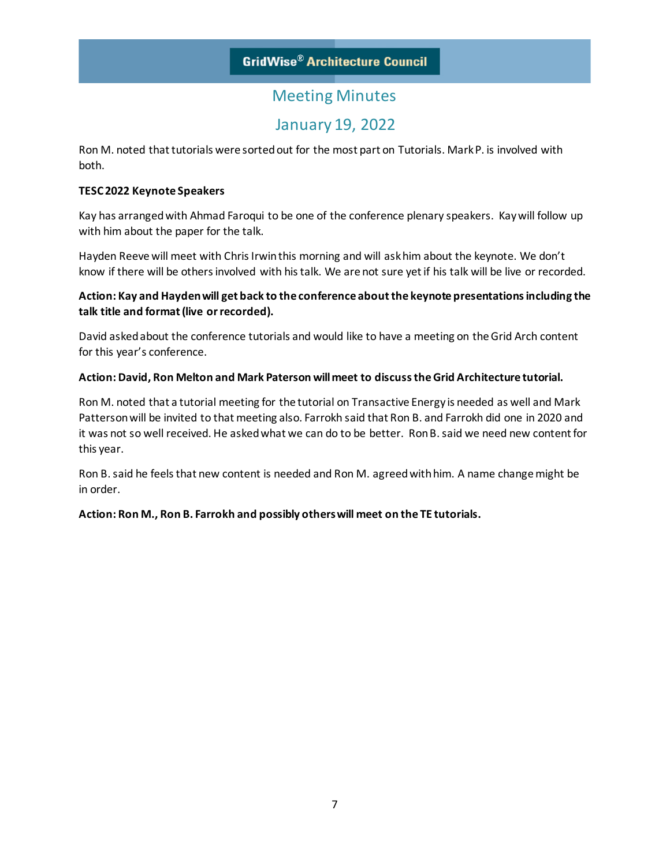## January 19, 2022

Ron M. noted that tutorials were sorted out for the most part on Tutorials. Mark P. is involved with both.

#### **TESC 2022 Keynote Speakers**

Kay has arranged with Ahmad Faroqui to be one of the conference plenary speakers. Kay will follow up with him about the paper for the talk.

Hayden Reeve will meet with Chris Irwin this morning and will ask him about the keynote. We don't know if there will be others involved with his talk. We are not sure yet if his talk will be live or recorded.

### **Action: Kay and Hayden will get back to the conference about the keynote presentations including the talk title and format (live or recorded).**

David asked about the conference tutorials and would like to have a meeting on the Grid Arch content for this year's conference.

#### **Action: David, Ron Melton and Mark Paterson will meet to discuss the Grid Architecture tutorial.**

Ron M. noted that a tutorial meeting for the tutorial on Transactive Energy is needed as well and Mark Patterson will be invited to that meeting also. Farrokh said that Ron B. and Farrokh did one in 2020 and it was not so well received. He asked what we can do to be better. Ron B. said we need new content for this year.

Ron B. said he feels that new content is needed and Ron M. agreed with him. A name change might be in order.

**Action: Ron M., Ron B. Farrokh and possibly others will meet on the TE tutorials.**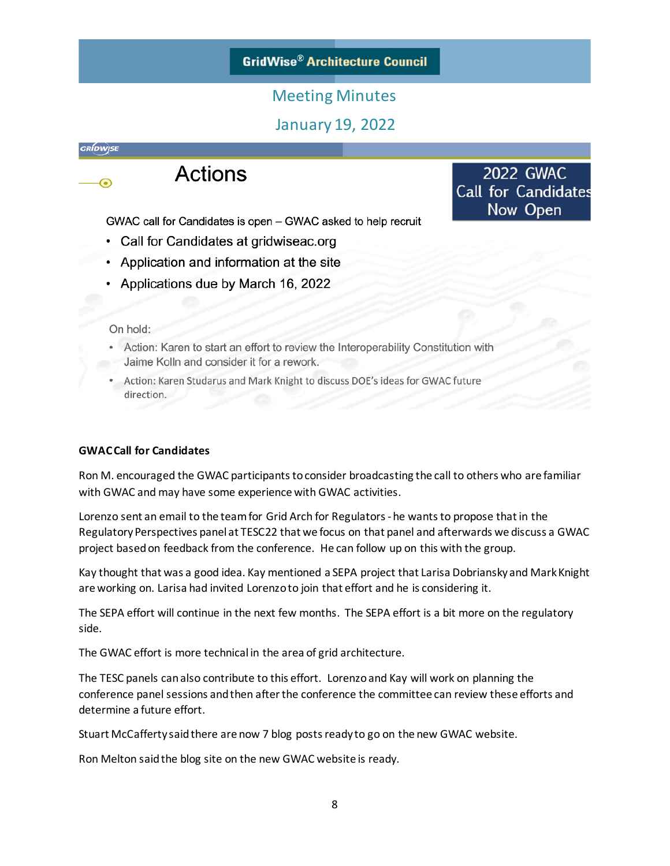### **GridWise® Architecture Council**

### Meeting Minutes

### January 19, 2022

**2022 GWAC** 

**Call for Candidates** Now Open

*GRÍDWISE* 

⊙



GWAC call for Candidates is open – GWAC asked to help recruit

- Call for Candidates at gridwiseac.org
- Application and information at the site
- Applications due by March 16, 2022

#### On hold:

- Action: Karen to start an effort to review the Interoperability Constitution with Jaime Kolln and consider it for a rework.
- Action: Karen Studarus and Mark Knight to discuss DOE's ideas for GWAC future direction.

### **GWAC Call for Candidates**

Ron M. encouraged the GWAC participants to consider broadcasting the call to others who are familiar with GWAC and may have some experience with GWAC activities.

Lorenzo sent an email to the team for Grid Arch for Regulators -he wants to propose that in the Regulatory Perspectives panel at TESC22 that we focus on that panel and afterwards we discuss a GWAC project based on feedback from the conference. He can follow up on this with the group.

Kay thought that was a good idea. Kay mentioned a SEPA project that Larisa Dobriansky and Mark Knight are working on. Larisa had invited Lorenzo to join that effort and he is considering it.

The SEPA effort will continue in the next few months. The SEPA effort is a bit more on the regulatory side.

The GWAC effort is more technical in the area of grid architecture.

The TESC panels can also contribute to this effort. Lorenzo and Kay will work on planning the conference panel sessions and then after the conference the committee can review these efforts and determine a future effort.

Stuart McCafferty said there are now 7 blog posts ready to go on the new GWAC website.

Ron Melton said the blog site on the new GWAC website is ready.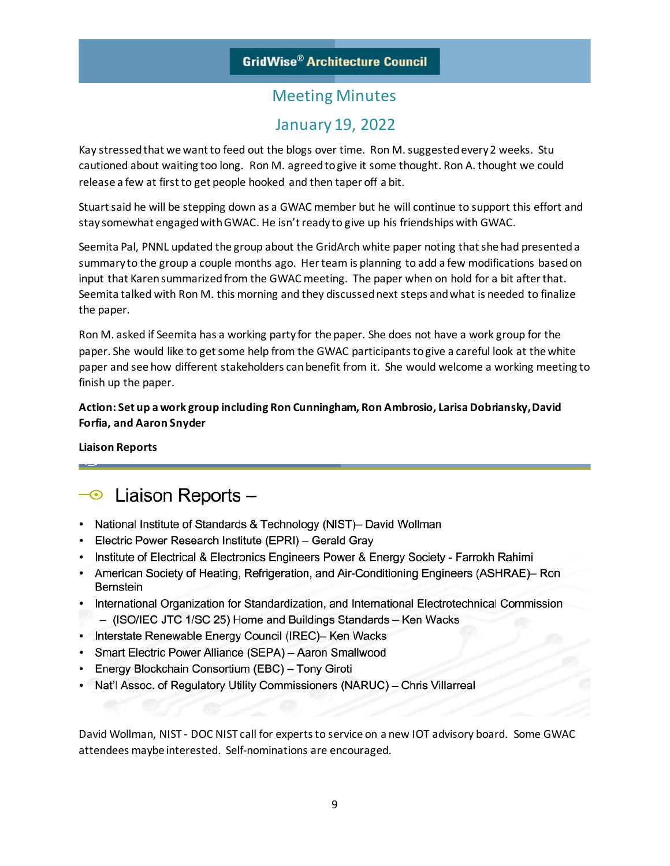## January 19, 2022

Kay stressed that we want to feed out the blogs over time. Ron M. suggested every 2 weeks. Stu cautioned about waiting too long. Ron M. agreed to give it some thought. Ron A. thought we could release a few at first to get people hooked and then taper off a bit.

Stuart said he will be stepping down as a GWAC member but he will continue to support this effort and stay somewhat engaged with GWAC. He isn't ready to give up his friendships with GWAC.

Seemita Pal, PNNL updated the group about the GridArch white paper noting that she had presented a summary to the group a couple months ago. Herteam is planning to add a few modifications based on input that Karen summarized from the GWAC meeting. The paper when on hold for a bit after that. Seemita talked with Ron M. this morning and they discussed next steps and what is needed to finalize the paper.

Ron M. asked if Seemita has a working party for the paper. She does not have a work group for the paper. She would like to get some help from the GWAC participants to give a careful look at the white paper and see how different stakeholders can benefit from it. She would welcome a working meeting to finish up the paper.

### **Action: Set up a work group including Ron Cunningham, Ron Ambrosio, Larisa Dobriansky, David Forfia, and Aaron Snyder**

**Liaison Reports**

# $\overline{\bullet}$  Liaison Reports -

- National Institute of Standards & Technology (NIST)- David Wollman
- Electric Power Research Institute (EPRI) Gerald Gray
- Institute of Electrical & Electronics Engineers Power & Energy Society Farrokh Rahimi
- American Society of Heating, Refrigeration, and Air-Conditioning Engineers (ASHRAE)– Ron Bernstein
- International Organization for Standardization, and International Electrotechnical Commission
- (ISO/IEC JTC 1/SC 25) Home and Buildings Standards Ken Wacks
- Interstate Renewable Energy Council (IREC)- Ken Wacks
- Smart Electric Power Alliance (SEPA) Aaron Smallwood
- Energy Blockchain Consortium (EBC) Tony Giroti
- Nat'l Assoc. of Regulatory Utility Commissioners (NARUC) Chris Villarreal

David Wollman, NIST - DOC NIST call for experts to service on a new IOT advisory board. Some GWAC attendees maybe interested. Self-nominations are encouraged.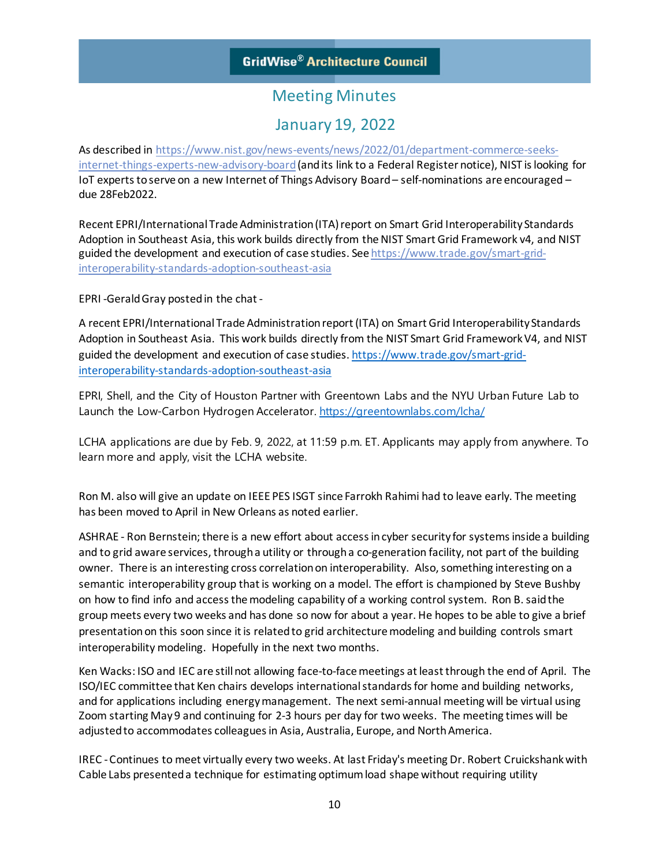### January 19, 2022

As described in [https://www.nist.gov/news-events/news/2022/01/department-commerce-seeks](https://www.nist.gov/news-events/news/2022/01/department-commerce-seeks-internet-things-experts-new-advisory-board)[internet-things-experts-new-advisory-board](https://www.nist.gov/news-events/news/2022/01/department-commerce-seeks-internet-things-experts-new-advisory-board)(and its link to a Federal Register notice), NIST is looking for IoT experts to serve on a new Internet of Things Advisory Board – self-nominations are encouraged – due 28Feb2022.

Recent EPRI/International Trade Administration (ITA) report on Smart Grid Interoperability Standards Adoption in Southeast Asia, this work builds directly from the NIST Smart Grid Framework v4, and NIST guided the development and execution of case studies. Se[e https://www.trade.gov/smart-grid](https://www.trade.gov/smart-grid-interoperability-standards-adoption-southeast-asia)[interoperability-standards-adoption-southeast-asia](https://www.trade.gov/smart-grid-interoperability-standards-adoption-southeast-asia)

EPRI -Gerald Gray postedin the chat -

A recent EPRI/International Trade Administration report (ITA) on Smart Grid Interoperability Standards Adoption in Southeast Asia. This work builds directly from the NIST Smart Grid Framework V4, and NIST guided the development and execution of case studies[. https://www.trade.gov/smart-grid](https://www.trade.gov/smart-grid-interoperability-standards-adoption-southeast-asia)[interoperability-standards-adoption-southeast-asia](https://www.trade.gov/smart-grid-interoperability-standards-adoption-southeast-asia)

EPRI, Shell, and the City of Houston Partner with Greentown Labs and the NYU Urban Future Lab to Launch the Low-Carbon Hydrogen Accelerator. <https://greentownlabs.com/lcha/>

LCHA applications are due by Feb. 9, 2022, at 11:59 p.m. ET. Applicants may apply from anywhere. To learn more and apply, visit the LCHA website.

Ron M. also will give an update on IEEE PES ISGT since Farrokh Rahimi had to leave early. The meeting has been moved to April in New Orleans as noted earlier.

ASHRAE - Ron Bernstein; there is a new effort about access in cyber security for systems inside a building and to grid aware services, through a utility or through a co-generation facility, not part of the building owner. There is an interesting cross correlation on interoperability. Also, something interesting on a semantic interoperability group that is working on a model. The effort is championed by Steve Bushby on how to find info and access the modeling capability of a working control system. Ron B. said the group meets every two weeks and has done so now for about a year. He hopes to be able to give a brief presentation on this soon since it is related to grid architecture modeling and building controls smart interoperability modeling. Hopefully in the next two months.

Ken Wacks: ISO and IEC are still not allowing face-to-face meetings at least through the end of April. The ISO/IEC committee that Ken chairs develops international standards for home and building networks, and for applications including energy management. The next semi-annual meeting will be virtual using Zoom starting May 9 and continuing for 2-3 hours per day for two weeks. The meeting times will be adjusted to accommodates colleaguesin Asia, Australia, Europe, and North America.

IREC -Continues to meet virtually every two weeks. At last Friday's meeting Dr. Robert Cruickshank with Cable Labs presented a technique for estimating optimum load shape without requiring utility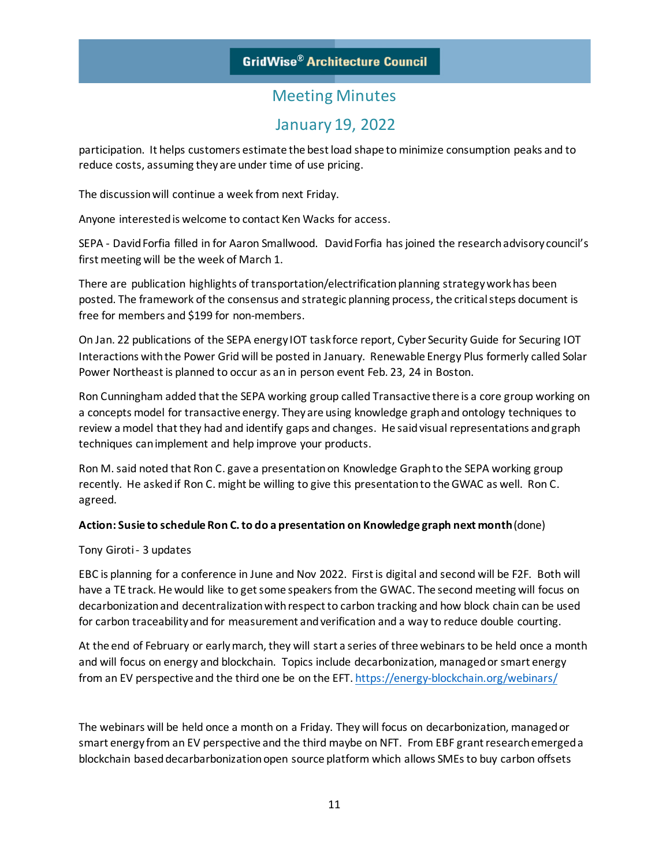## January 19, 2022

participation. It helps customers estimate the best load shape to minimize consumption peaks and to reduce costs, assuming they are under time of use pricing.

The discussion will continue a week from next Friday.

Anyone interested is welcome to contact Ken Wacks for access.

SEPA - David Forfia filled in for Aaron Smallwood. David Forfia has joined the research advisory council's first meeting will be the week of March 1.

There are publication highlights of transportation/electrification planning strategy work has been posted. The framework of the consensus and strategic planning process, the critical steps document is free for members and \$199 for non-members.

On Jan. 22 publications of the SEPA energy IOT task force report, Cyber Security Guide for Securing IOT Interactions with the Power Grid will be posted in January. Renewable Energy Plus formerly called Solar Power Northeast is planned to occur as an in person event Feb. 23, 24 in Boston.

Ron Cunningham added that the SEPA working group called Transactive there is a core group working on a concepts model for transactive energy. They are using knowledge graph and ontology techniques to review a model that they had and identify gaps and changes. He said visual representations and graph techniques can implement and help improve your products.

Ron M. said noted that Ron C. gave a presentation on Knowledge Graph to the SEPA working group recently. He asked if Ron C. might be willing to give this presentation to the GWAC as well. Ron C. agreed.

#### **Action: Susie to schedule Ron C. to do a presentation on Knowledge graph next month**(done)

Tony Giroti - 3 updates

EBC is planning for a conference in June and Nov 2022. First is digital and second will be F2F. Both will have a TE track. He would like to get some speakers from the GWAC. The second meeting will focus on decarbonization and decentralization with respect to carbon tracking and how block chain can be used for carbon traceability and for measurement and verification and a way to reduce double courting.

At the end of February or early march, they will start a series of three webinars to be held once a month and will focus on energy and blockchain. Topics include decarbonization, managed or smart energy from an EV perspective and the third one be on the EFT. <https://energy-blockchain.org/webinars/>

The webinars will be held once a month on a Friday. They will focus on decarbonization, managed or smart energy from an EV perspective and the third maybe on NFT. From EBF grant research emerged a blockchain based decarbarbonization open source platform which allows SMEs to buy carbon offsets